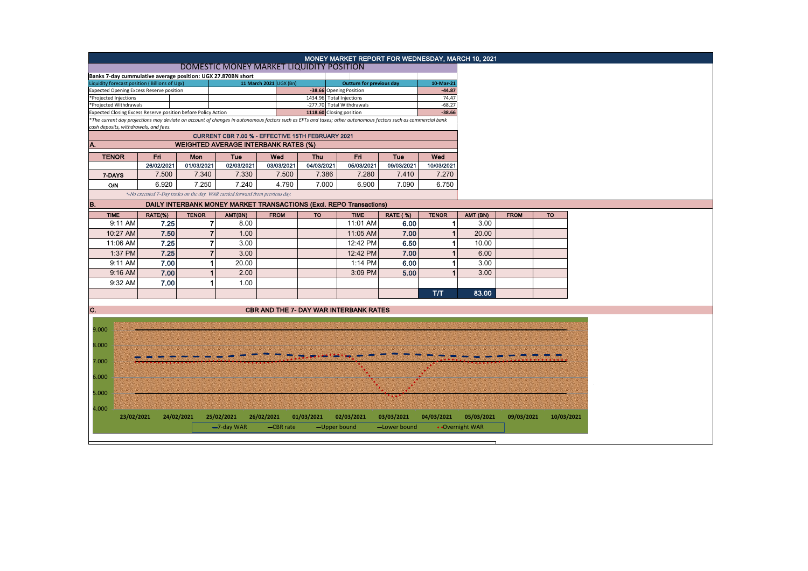|                                                                                                                                                                                           |                                                                               |                |                                                                     |                                               |                                 | MONEY MARKET REPORT FOR WEDNESDAY, MARCH 10, 2021     |                 |                      |                 |             |            |
|-------------------------------------------------------------------------------------------------------------------------------------------------------------------------------------------|-------------------------------------------------------------------------------|----------------|---------------------------------------------------------------------|-----------------------------------------------|---------------------------------|-------------------------------------------------------|-----------------|----------------------|-----------------|-------------|------------|
| DOMESTIC MONEY MARKET LIQUIDITY POSITION                                                                                                                                                  |                                                                               |                |                                                                     |                                               |                                 |                                                       |                 |                      |                 |             |            |
| Banks 7-day cummulative average position: UGX 27.870BN short                                                                                                                              |                                                                               |                |                                                                     |                                               |                                 |                                                       |                 |                      |                 |             |            |
| Liquidity forecast position (Billions of Ugx)                                                                                                                                             |                                                                               |                |                                                                     | 11 March 2021 UGX (Bn)                        | <b>Outturn for previous day</b> |                                                       |                 | 10-Mar-21            |                 |             |            |
| <b>Expected Opening Excess Reserve position</b>                                                                                                                                           |                                                                               |                |                                                                     |                                               | -38.66 Opening Position         |                                                       |                 | $-44.87$<br>74.47    |                 |             |            |
| *Projected Injections                                                                                                                                                                     |                                                                               |                |                                                                     |                                               |                                 | 1434.96 Total Injections<br>-277.70 Total Withdrawals |                 |                      |                 |             |            |
| *Projected Withdrawals<br>Expected Closing Excess Reserve position before Policy Action                                                                                                   |                                                                               |                |                                                                     |                                               |                                 |                                                       |                 | $-68.27$<br>$-38.66$ |                 |             |            |
| 1118.60 Closing position<br>*The current day projections may deviate on account of changes in autonomous factors such as EFTs and taxes; other autonomous factors such as commercial bank |                                                                               |                |                                                                     |                                               |                                 |                                                       |                 |                      |                 |             |            |
| cash deposits, withdrawals, and fees.                                                                                                                                                     |                                                                               |                |                                                                     |                                               |                                 |                                                       |                 |                      |                 |             |            |
| CURRENT CBR 7.00 % - EFFECTIVE 15TH FEBRUARY 2021                                                                                                                                         |                                                                               |                |                                                                     |                                               |                                 |                                                       |                 |                      |                 |             |            |
| A.<br><b>WEIGHTED AVERAGE INTERBANK RATES (%)</b>                                                                                                                                         |                                                                               |                |                                                                     |                                               |                                 |                                                       |                 |                      |                 |             |            |
| Fri<br>Fri<br><b>TENOR</b><br>Tue<br>Wed<br><b>Thu</b><br>Tue<br>Wed<br>Mon                                                                                                               |                                                                               |                |                                                                     |                                               |                                 |                                                       |                 |                      |                 |             |            |
|                                                                                                                                                                                           | 26/02/2021                                                                    | 01/03/2021     | 02/03/2021                                                          | 03/03/2021                                    | 04/03/2021                      | 05/03/2021                                            | 09/03/2021      | 10/03/2021           |                 |             |            |
| 7-DAYS                                                                                                                                                                                    | 7.500                                                                         | 7.340          | 7.330                                                               | 7.500                                         | 7.386                           | 7.280                                                 | 7.410           | 7.270                |                 |             |            |
| <b>O/N</b>                                                                                                                                                                                | 6.920                                                                         | 7.250          | 7.240                                                               | 4.790                                         | 7.000                           | 6.900                                                 | 7.090           | 6.750                |                 |             |            |
|                                                                                                                                                                                           | *-No executed 7-Day trades on the day. WAR carried forward from previous day. |                |                                                                     |                                               |                                 |                                                       |                 |                      |                 |             |            |
| B.                                                                                                                                                                                        |                                                                               |                | DAILY INTERBANK MONEY MARKET TRANSACTIONS (Excl. REPO Transactions) |                                               |                                 |                                                       |                 |                      |                 |             |            |
| <b>TIME</b>                                                                                                                                                                               | RATE(%)                                                                       | <b>TENOR</b>   | AMT(BN)                                                             | <b>FROM</b>                                   | <b>TO</b>                       | <b>TIME</b>                                           | <b>RATE (%)</b> | <b>TENOR</b>         | AMT (BN)        | <b>FROM</b> | <b>TO</b>  |
| 9:11 AM                                                                                                                                                                                   | 7.25                                                                          | $\overline{7}$ | 8.00                                                                |                                               |                                 | 11:01 AM                                              | 6.00            | -1                   | 3.00            |             |            |
| 10:27 AM                                                                                                                                                                                  | 7.50                                                                          | $\overline{7}$ | 1.00                                                                |                                               |                                 | 11:05 AM                                              | 7.00            |                      | 20.00           |             |            |
|                                                                                                                                                                                           |                                                                               |                |                                                                     |                                               |                                 |                                                       |                 |                      |                 |             |            |
| 11:06 AM                                                                                                                                                                                  | 7.25                                                                          | $\overline{7}$ | 3.00                                                                |                                               |                                 | 12:42 PM                                              | 6.50            |                      | 10.00           |             |            |
| 1:37 PM                                                                                                                                                                                   | 7.25                                                                          | $\overline{7}$ | 3.00                                                                |                                               |                                 | 12:42 PM                                              | 7.00            |                      | 6.00            |             |            |
| 9:11 AM                                                                                                                                                                                   | 7.00                                                                          | 1              | 20.00                                                               |                                               |                                 | 1:14 PM                                               | 6.00            |                      | 3.00            |             |            |
| $9:16$ AM                                                                                                                                                                                 | 7.00                                                                          | 1              | 2.00                                                                |                                               |                                 | 3:09 PM                                               | 5.00            |                      | 3.00            |             |            |
| 9:32 AM                                                                                                                                                                                   | 7.00                                                                          | 1              | 1.00                                                                |                                               |                                 |                                                       |                 |                      |                 |             |            |
|                                                                                                                                                                                           |                                                                               |                |                                                                     |                                               |                                 |                                                       |                 | T/T                  | 83.00           |             |            |
|                                                                                                                                                                                           |                                                                               |                |                                                                     |                                               |                                 |                                                       |                 |                      |                 |             |            |
| C.                                                                                                                                                                                        |                                                                               |                |                                                                     | <b>CBR AND THE 7- DAY WAR INTERBANK RATES</b> |                                 |                                                       |                 |                      |                 |             |            |
|                                                                                                                                                                                           |                                                                               |                |                                                                     |                                               |                                 |                                                       |                 |                      |                 |             |            |
| 9.000                                                                                                                                                                                     |                                                                               |                |                                                                     |                                               |                                 |                                                       |                 |                      |                 |             |            |
|                                                                                                                                                                                           |                                                                               |                |                                                                     |                                               |                                 |                                                       |                 |                      |                 |             |            |
| 8.000                                                                                                                                                                                     |                                                                               |                |                                                                     |                                               |                                 |                                                       |                 |                      |                 |             |            |
|                                                                                                                                                                                           |                                                                               |                |                                                                     |                                               |                                 |                                                       |                 |                      |                 |             |            |
| 7.000                                                                                                                                                                                     |                                                                               |                |                                                                     |                                               |                                 |                                                       |                 |                      |                 |             |            |
|                                                                                                                                                                                           |                                                                               |                |                                                                     |                                               |                                 |                                                       |                 |                      |                 |             |            |
| 6.000                                                                                                                                                                                     |                                                                               |                |                                                                     |                                               |                                 |                                                       |                 |                      |                 |             |            |
| 5.000                                                                                                                                                                                     |                                                                               |                |                                                                     |                                               |                                 |                                                       |                 |                      |                 |             |            |
|                                                                                                                                                                                           |                                                                               |                |                                                                     |                                               |                                 |                                                       |                 |                      |                 |             |            |
| 4.000                                                                                                                                                                                     |                                                                               |                |                                                                     |                                               |                                 |                                                       |                 |                      |                 |             |            |
| 23/02/2021                                                                                                                                                                                |                                                                               | 24/02/2021     | 25/02/2021                                                          | 26/02/2021                                    | 01/03/2021                      | 02/03/2021                                            | 03/03/2021      | 04/03/2021           | 05/03/2021      | 09/03/2021  | 10/03/2021 |
|                                                                                                                                                                                           |                                                                               |                | $-7$ -day WAR                                                       | -CBR rate                                     | -Upper bound                    |                                                       | -Lower bound    |                      | • Overnight WAR |             |            |
|                                                                                                                                                                                           |                                                                               |                |                                                                     |                                               |                                 |                                                       |                 |                      |                 |             |            |
|                                                                                                                                                                                           |                                                                               |                |                                                                     |                                               |                                 |                                                       |                 |                      |                 |             |            |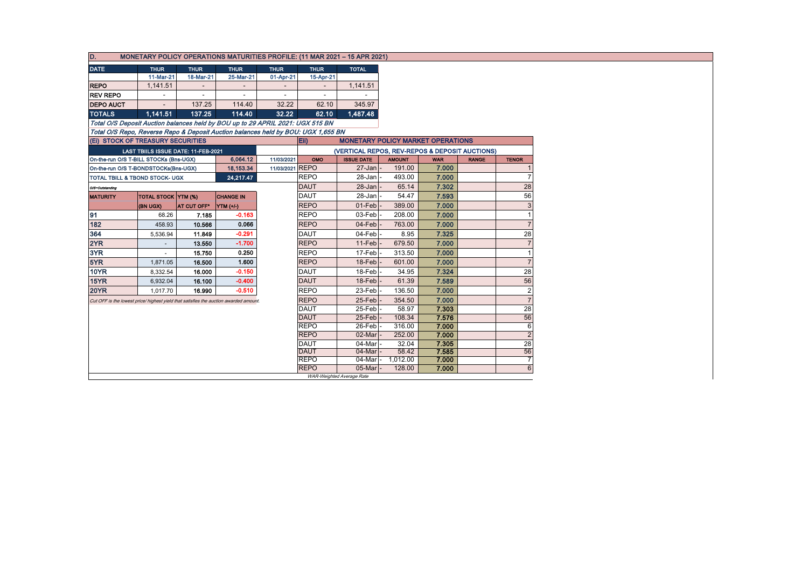| D.<br>MONETARY POLICY OPERATIONS MATURITIES PROFILE: (11 MAR 2021 - 15 APR 2021)      |                                            |             |                   |                 |                                                  |                           |               |            |              |                |  |  |
|---------------------------------------------------------------------------------------|--------------------------------------------|-------------|-------------------|-----------------|--------------------------------------------------|---------------------------|---------------|------------|--------------|----------------|--|--|
| <b>DATE</b>                                                                           | <b>THUR</b>                                | <b>THUR</b> | <b>THUR</b>       | <b>THUR</b>     | <b>THUR</b>                                      | <b>TOTAL</b>              |               |            |              |                |  |  |
|                                                                                       | 11-Mar-21                                  | 18-Mar-21   | 25-Mar-21         | 01-Apr-21       | 15-Apr-21                                        |                           |               |            |              |                |  |  |
| <b>REPO</b>                                                                           | 1,141.51                                   |             |                   |                 |                                                  | 1,141.51                  |               |            |              |                |  |  |
| <b>REV REPO</b>                                                                       |                                            |             |                   |                 |                                                  |                           |               |            |              |                |  |  |
| <b>DEPO AUCT</b>                                                                      | $\overline{\phantom{a}}$                   | 137.25      | 114.40            | 32.22           | 62.10                                            | 345.97                    |               |            |              |                |  |  |
| <b>TOTALS</b>                                                                         | 1,141.51                                   | 137.25      | 114.40            | 32.22           | 62.10                                            | 1,487.48                  |               |            |              |                |  |  |
| Total O/S Deposit Auction balances held by BOU up to 29 APRIL 2021: UGX 515 BN        |                                            |             |                   |                 |                                                  |                           |               |            |              |                |  |  |
| Total O/S Repo, Reverse Repo & Deposit Auction balances held by BOU: UGX 1,655 BN     |                                            |             |                   |                 |                                                  |                           |               |            |              |                |  |  |
|                                                                                       | (EI) STOCK OF TREASURY SECURITIES          |             |                   |                 | Eii)<br><b>MONETARY POLICY MARKET OPERATIONS</b> |                           |               |            |              |                |  |  |
|                                                                                       | <b>LAST TBIILS ISSUE DATE: 11-FEB-2021</b> |             |                   |                 | (VERTICAL REPOS, REV-REPOS & DEPOSIT AUCTIONS)   |                           |               |            |              |                |  |  |
|                                                                                       | On-the-run O/S T-BILL STOCKs (Bns-UGX)     |             | 6,064.12          | 11/03/2021      | OMO                                              | <b>ISSUE DATE</b>         | <b>AMOUNT</b> | <b>WAR</b> | <b>RANGE</b> | <b>TENOR</b>   |  |  |
|                                                                                       | On-the-run O/S T-BONDSTOCKs(Bns-UGX)       |             | 18,153.34         | 11/03/2021 REPO |                                                  | $27 - Jan$                | 191.00        | 7.000      |              |                |  |  |
|                                                                                       | TOTAL TBILL & TBOND STOCK- UGX             |             | 24,217.47         |                 | <b>REPO</b>                                      | 28-Jan                    | 493.00        | 7.000      |              |                |  |  |
| O/S=Outstanding                                                                       |                                            |             |                   |                 | <b>DAUT</b>                                      | $28 - Jan$                | 65.14         | 7.302      |              | 28             |  |  |
| <b>MATURITY</b>                                                                       | TOTAL STOCK YTM (%)                        |             | <b>CHANGE IN</b>  |                 | <b>DAUT</b>                                      | 28-Jan                    | 54.47         | 7.593      |              | 56             |  |  |
|                                                                                       | (BN UGX)                                   | AT CUT OFF* | $\vert$ YTM (+/-) |                 | <b>REPO</b>                                      | $01-Feb$                  | 389.00        | 7.000      |              |                |  |  |
| 91                                                                                    | 68.26                                      | 7.185       | $-0.163$          |                 | <b>REPO</b>                                      | 03-Feb                    | 208.00        | 7.000      |              |                |  |  |
| 182                                                                                   | 458.93                                     | 10.566      | 0.066             |                 | <b>REPO</b>                                      | $04$ -Feb                 | 763.00        | 7.000      |              |                |  |  |
| 364                                                                                   | 5,536.94                                   | 11.849      | $-0.291$          |                 | DAUT                                             | 04-Feb                    | 8.95          | 7.325      |              | 28             |  |  |
| 2YR                                                                                   |                                            | 13.550      | $-1.700$          |                 | <b>REPO</b>                                      | 11-Feb                    | 679.50        | 7.000      |              |                |  |  |
| 3YR                                                                                   |                                            | 15.750      | 0.250             |                 | <b>REPO</b>                                      | 17-Feb                    | 313.50        | 7.000      |              |                |  |  |
| 5YR                                                                                   | 1,871.05                                   | 16.500      | 1.600             |                 | <b>REPO</b>                                      | $18$ -Feb                 | 601.00        | 7.000      |              |                |  |  |
| <b>10YR</b>                                                                           | 8,332.54                                   | 16.000      | $-0.150$          |                 | <b>DAUT</b>                                      | 18-Feb                    | 34.95         | 7.324      |              | 28             |  |  |
| <b>15YR</b>                                                                           | 6,932.04                                   | 16.100      | $-0.400$          |                 | <b>DAUT</b>                                      | 18-Feb                    | 61.39         | 7.589      |              | 56             |  |  |
| <b>20YR</b>                                                                           | 1,017.70                                   | 16.990      | $-0.510$          |                 | <b>REPO</b>                                      | 23-Feb                    | 136.50        | 7.000      |              | $\overline{2}$ |  |  |
| Cut OFF is the lowest price/ highest yield that satisfies the auction awarded amount. |                                            |             |                   |                 | <b>REPO</b>                                      | 25-Feb                    | 354.50        | 7.000      |              |                |  |  |
|                                                                                       |                                            |             |                   |                 | DAUT                                             | 25-Feb                    | 58.97         | 7.303      |              | 28             |  |  |
|                                                                                       |                                            |             |                   |                 | <b>DAUT</b>                                      | 25-Feb                    | 108.34        | 7.576      |              | 56             |  |  |
|                                                                                       |                                            |             |                   |                 | <b>REPO</b>                                      | 26-Feb                    | 316.00        | 7.000      |              | 6              |  |  |
| <b>REPO</b>                                                                           |                                            |             |                   |                 |                                                  | 02-Mar                    | 252.00        | 7.000      |              |                |  |  |
|                                                                                       |                                            |             |                   |                 | <b>DAUT</b>                                      | 04-Mar                    | 32.04         | 7.305      |              | 28             |  |  |
|                                                                                       |                                            |             |                   |                 | <b>DAUT</b>                                      | $04$ -Mar $\vert$         | 58.42         | 7.585      |              | 56             |  |  |
|                                                                                       |                                            |             |                   |                 | <b>REPO</b>                                      | 04-Mar -                  | 1,012.00      | 7.000      |              |                |  |  |
|                                                                                       |                                            |             |                   |                 | <b>REPO</b>                                      | 05-Mar                    | 128.00        | 7.000      |              | 6              |  |  |
|                                                                                       |                                            |             |                   |                 |                                                  | WAR-Weighted Average Rate |               |            |              |                |  |  |